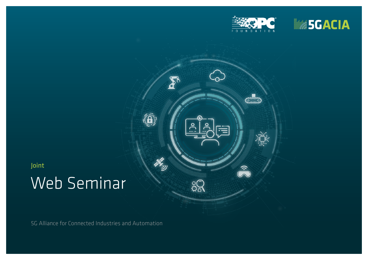

 $\overline{\text{O}}$ 

五种

 $\sum_{i=1}^{n}$ 

 $\left(\widehat{\hspace{-1pt}\mathrm{\Omega}}\right)$ 

the gr

 $\frac{3}{2}$ 



Joint

# Web Seminar

5G Alliance for Connected Industries and Automation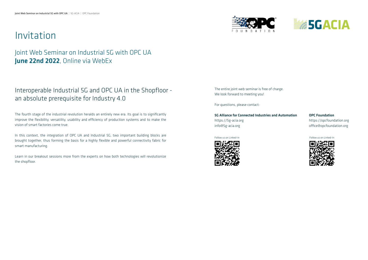## Invitation

### Joint Web Seminar on Industrial 5G with OPC UA June 22nd 2022, Online via WebEx

### Interoperable Industrial 5G and OPC UA in the Shopfloor an absolute prerequisite for Industry 4.0

The fourth stage of the industrial revolution heralds an entirely new era. Its goal is to significantly improve the flexibility, versatility, usability and efficiency of production systems and to make the vision of smart factories come true.

In this context, the integration of OPC UA and Industrial 5G, two important building blocks are brought together, thus forming the basis for a highly flexible and powerful connectivity fabric for smart manufacturing.

Learn in our breakout sessions more from the experts on how both technologies will revolutionize the shopfloor.

The entire joint web seminar is free of charge. We look forward to meeting you!

For questions, please contact:

5G Alliance for Connected Industries and Automation OPC Foundation https://5g-acia.org https://opcfoundation.org info@5g-acia.org by contraction.org office@opcfoundation.org







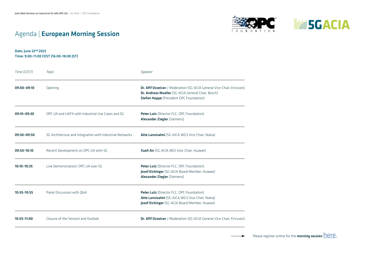## Agenda | European Morning Session





Date: June 22nd 2022 Time: 9:00–11:00 CEST (16:00–18:00 JST)

| Time (CEST)     | Topic                                                    | Speaker                                                                                                                                                                       |
|-----------------|----------------------------------------------------------|-------------------------------------------------------------------------------------------------------------------------------------------------------------------------------|
| $09:00 - 09:10$ | Opening                                                  | Dr. Afif Osseiran / Moderation (5G-ACIA General Vice-Chair, Ericsson)<br>Dr. Andreas Mueller (5G-ACIA General Chair, Bosch)<br><b>Stefan Hoppe</b> (President OPC Foundation) |
| 09:10-09:30     | OPC UA and UAFX with Industrial Use Cases and 5G         | Peter Lutz (Director FLC, OPC Foundation)<br>Alexander Ziegler (Siemens)                                                                                                      |
| 09:30-09:50     | 5G Architecture and Integration with Industrial Networks | Atte Lansisalmi (5G-AICA WG3 Vice-Chair, Nokia)                                                                                                                               |
| 09:50-10:10     | Recent Development on OPC UA with 5G                     | Xueli An (5G-ACIA WG1 Vice-Chair, Huawei)                                                                                                                                     |
| 10:10-10:35     | Live Demonstration/ OPC UA over 5G                       | Peter Lutz (Director FLC, OPC Foundation)<br>Josef Eichinger (5G-ACIA Board Member, Huawei)<br>Alexander Ziegler (Siemens)                                                    |
| $10:35 - 10:55$ | Panel Discussion with Q&A                                | Peter Lutz (Director FLC, OPC Foundation)<br>Atte Lansisalmi (5G-AICA WG3 Vice-Chair, Nokia)<br>Josef Eichinger (5G-ACIA Board Member, Huawei)                                |
| $10:55 - 11:00$ | Closure of the Session and Outlook                       | Dr. Afif Osseiran / Moderation (5G-ACIA General Vice-Chair, Ericsson)                                                                                                         |

Please register online for the **morning session**  $\overline{\text{here}}$  $\overline{\text{here}}$  $\overline{\text{here}}$ .  $\rightarrow$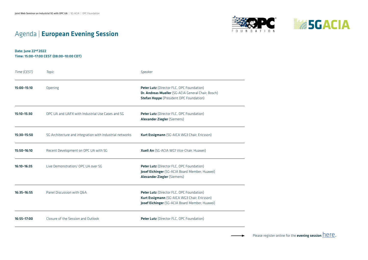





Date: June 22nd 2022 Time: 15:00–17:00 CEST (08:00–10:00 CDT)

| Time (CEST)     | Topic                                                    | Speaker                                                                                                                                           |
|-----------------|----------------------------------------------------------|---------------------------------------------------------------------------------------------------------------------------------------------------|
| 15:00-15:10     | Opening                                                  | Peter Lutz (Director FLC, OPC Foundation)<br>Dr. Andreas Mueller (5G-ACIA General Chair, Bosch)<br><b>Stefan Hoppe</b> (President OPC Foundation) |
| 15:10-15:30     | OPC UA and UAFX with Industrial Use Cases and 5G         | Peter Lutz (Director FLC, OPC Foundation)<br>Alexander Ziegler (Siemens)                                                                          |
| 15:30-15:50     | 5G Architecture and integration with industrial networks | Kurt Essigmann (5G-AICA WG3 Chair, Ericsson)                                                                                                      |
| 15:50-16:10     | Recent Development on OPC UA with 5G                     | Xueli An (5G-ACIA WG1 Vice-Chair, Huawei)                                                                                                         |
| 16:10-16:35     | Live Demonstration/ OPC UA over 5G                       | Peter Lutz (Director FLC, OPC Foundation)<br>Josef Eichinger (5G-ACIA Board Member, Huawei)<br><b>Alexander Ziegler (Siemens)</b>                 |
| $16:35 - 16:55$ | Panel Discussion with Q&A                                | Peter Lutz (Director FLC, OPC Foundation)<br>Kurt Essigmann (5G-AICA WG3 Chair, Ericsson)<br>Josef Eichinger (5G-ACIA Board Member, Huawei)       |
| 16:55-17:00     | Closure of the Session and Outlook                       | Peter Lutz (Director FLC, OPC Foundation)                                                                                                         |

Please register online for the evening session  $here$  $here$  $here$ .</u>  $\rightarrow$